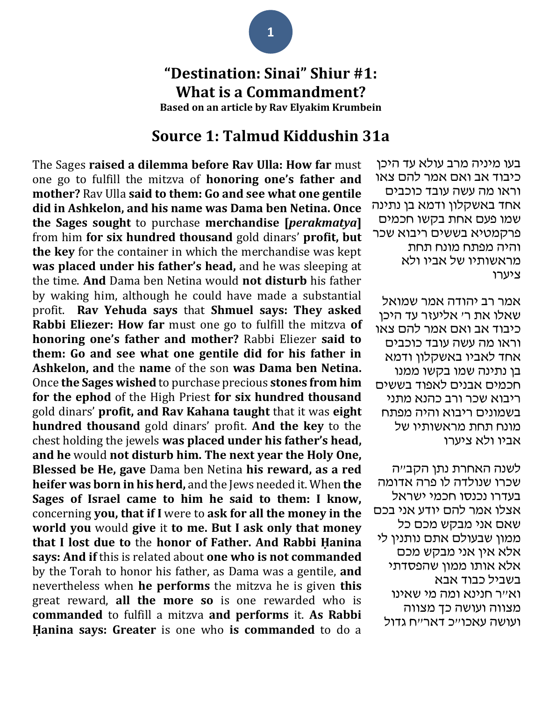# **"Destination: Sinai" Shiur #1: What is a Commandment?**

**Based on an article by Rav Elyakim Krumbein**

# **Source 1: Talmud Kiddushin 31a**

The Sages **raised a dilemma before Rav Ulla: How far** must one go to fulfill the mitzva of **honoring one's father and mother?** Rav Ulla **said to them: Go and see what one gentile did in Ashkelon, and his name was Dama ben Netina. Once the Sages sought** to purchase **merchandise [***perakmatya***]** from him **for six hundred thousand** gold dinars' **profit, but the key** for the container in which the merchandise was kept **was placed under his father's head,** and he was sleeping at the time. **And** Dama ben Netina would **not disturb** his father by waking him, although he could have made a substantial profit. **Rav Yehuda says** that **Shmuel says: They asked Rabbi Eliezer: How far** must one go to fulfill the mitzva **of honoring one's father and mother?** Rabbi Eliezer **said to them: Go and see what one gentile did for his father in Ashkelon, and** the **name** of the son **was Dama ben Netina.** Once **the Sages wished** to purchase precious **stones from him for the ephod** of the High Priest **for six hundred thousand** gold dinars' **profit, and Rav Kahana taught** that it was **eight hundred thousand** gold dinars' profit. **And the key** to the chest holding the jewels **was placed under his father's head, and he** would **not disturb him. The next year the Holy One, Blessed be He, gave** Dama ben Netina **his reward, as a red heifer was born in his herd,** and the Jews needed it. When **the Sages of Israel came to him he said to them: I know,** concerning **you, that if I** were to **ask for all the money in the world you** would **give** it **to me. But I ask only that money that I lost due to** the **honor of Father. And Rabbi Ḥanina says: And if** this is related about **one who is not commanded** by the Torah to honor his father, as Dama was a gentile, **and** nevertheless when **he performs** the mitzva he is given **this** great reward, **all the more so** is one rewarded who is **commanded** to fulfill a mitzva **and performs** it. **As Rabbi Ḥanina says: Greater** is one who **is commanded** to do a

בעו מיניה מרב עולא עד היכן כיבוד אב ואם אמר להם צאו וראו מה עשה עובד כוכבים אחד באשקלון ודמא בן נתינה שמו פעם אחת בקשו חכמים פרקמטיא בששים ריבוא שכר והיה מפתח מונח תחת מראשותיו של אביו ולא ציערו

אמר רב יהודה אמר שמואל שאלו את ר' אליעזר עד היכן כיבוד אב ואם אמר להם צאו וראו מה עשה עובד כוכבים אחד לאביו באשקלון ודמא בן נתינה שמו בקשו ממנו חכמים אבנים לאפוד בששים ריבוא שכר ורב כהנא מתני בשמונים ריבוא והיה מפתח מונח תחת מראשותיו של אביו ולא ציערו

לשנה האחרת נתן הקב"ה שכרו שנולדה לו פרה אדומה בעדרו נכנסו חכמי ישראל אצלו אמר להם יודע אני בכם שאם אני מבקש מכם כל ממון שבעולם אתם נותנין לי אלא אין אני מבקש מכם אלא אותו ממון שהפסדתי בשביל כבוד אבא וא"ר חנינא ומה מי שאינו מצווה ועושה כך מצווה ועושה עאכו"כ דאר"ח גדול

**1**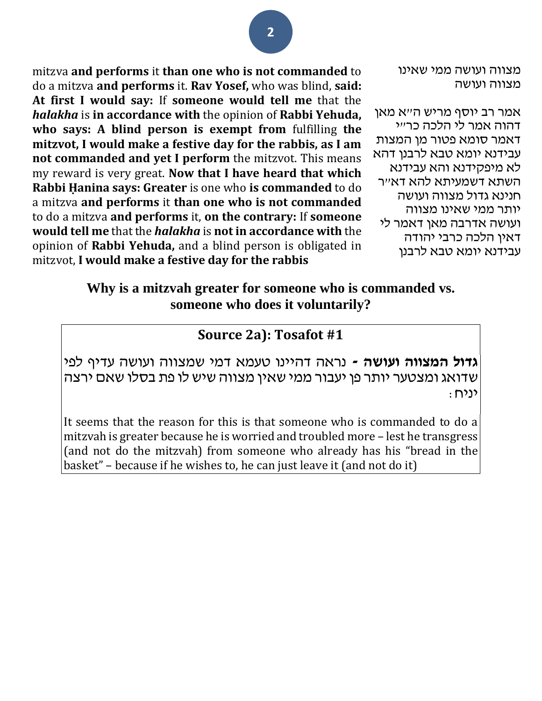mitzva **and performs** it **than one who is not commanded** to do a mitzva **and performs** it. **Rav Yosef,** who was blind, **said: At first I would say:** If **someone would tell me** that the *halakha* is **in accordance with** the opinion of **Rabbi Yehuda, who says: A blind person is exempt from** fulfilling **the mitzvot, I would make a festive day for the rabbis, as I am not commanded and yet I perform** the mitzvot. This means my reward is very great. **Now that I have heard that which Rabbi Ḥanina says: Greater** is one who **is commanded** to do a mitzva **and performs** it **than one who is not commanded** to do a mitzva **and performs** it, **on the contrary:** If **someone would tell me** that the *halakha* is **not in accordance with** the opinion of **Rabbi Yehuda,** and a blind person is obligated in

mitzvot, **I would make a festive day for the rabbis**

מצווה ועושה ממי שאינו מצווה ועושה

אמר רב יוסף מריש ה"א מאן דהוה אמר לי הלכה כר"י דאמר סומא פטור מן המצות עבידנא יומא טבא לרבנן דהא לא מיפקידנא והא עבידנא השתא דשמעיתא להא דא"ר חנינא גדול מצווה ועושה יותר ממי שאינו מצווה ועושה אדרבה מאן דאמר לי דאין הלכה כרבי יהודה עבידנא יומא טבא לרבנן

## **Why is a mitzvah greater for someone who is commanded vs. someone who does it voluntarily?**

# **Source 2a): Tosafot #1**

**גדול המצווה ועושה -** נראה דהיינו טעמא דמי שמצווה ועושה עדיף לפי שדואג ומצטער יותר פן יעבור ממי שאין מצווה שיש לו פת בסלו שאם ירצה יניח:

It seems that the reason for this is that someone who is commanded to do a mitzvah is greater because he is worried and troubled more – lest he transgress (and not do the mitzvah) from someone who already has his "bread in the basket" – because if he wishes to, he can just leave it (and not do it)

# **2**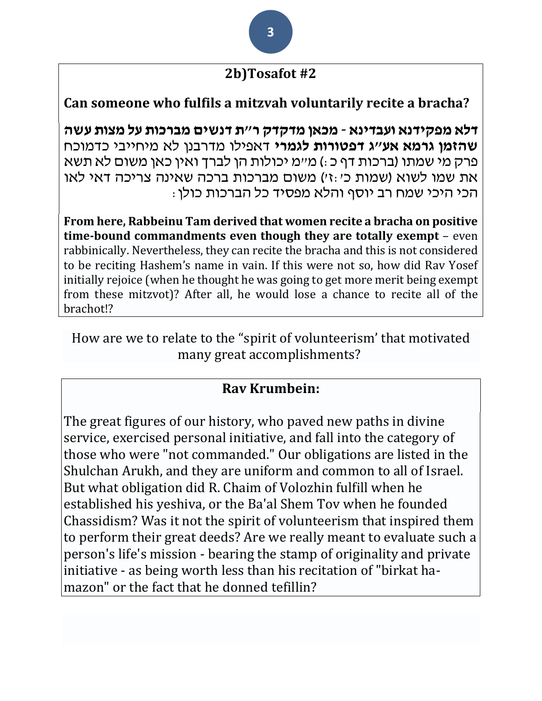# **2b)Tosafot #2**

## **Can someone who fulfils a mitzvah voluntarily recite a bracha?**

**דלא מפקידנא ועבדינא** - **מכאן מדקדק ר"ת דנשים מברכות על מצות עשה שהזמן גרמא אע"ג דפטורות לגמרי** דאפילו מדרבנן לא מיחייבי כדמוכח פרק מי שמתו (ברכות דף כ:) מ״מ יכולות הן לברך ואין כאן משום לא תשא את שמו לשוא )שמות כ׳:ז׳( משום מברכות ברכה שאינה צריכה דאי לאו הכי היכי שמח רב יוסף והלא מפסיד כל הברכות כולן:

**From here, Rabbeinu Tam derived that women recite a bracha on positive time-bound commandments even though they are totally exempt** – even rabbinically. Nevertheless, they can recite the bracha and this is not considered to be reciting Hashem's name in vain. If this were not so, how did Rav Yosef initially rejoice (when he thought he was going to get more merit being exempt from these mitzvot)? After all, he would lose a chance to recite all of the brachot!?

How are we to relate to the "spirit of volunteerism' that motivated many great accomplishments?

## **Rav Krumbein:**

The great figures of our history, who paved new paths in divine service, exercised personal initiative, and fall into the category of those who were "not commanded." Our obligations are listed in the Shulchan Arukh, and they are uniform and common to all of Israel. But what obligation did R. Chaim of Volozhin fulfill when he established his yeshiva, or the Ba'al Shem Tov when he founded Chassidism? Was it not the spirit of volunteerism that inspired them to perform their great deeds? Are we really meant to evaluate such a person's life's mission - bearing the stamp of originality and private initiative - as being worth less than his recitation of "birkat hamazon" or the fact that he donned tefillin?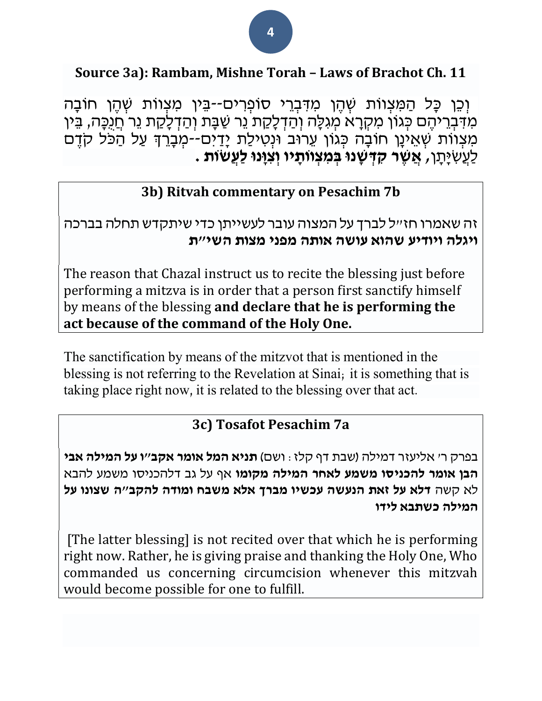## **Source 3a): Rambam, Mishne Torah – Laws of Brachot Ch. 11**

וְכֵן כָּל הַמִּצְוֹוֹת שְׁהֶן מִדִּבְרֵי סוֹפְרִים--בֵּין מִצְווֹת שְׁהֶן חוֹבָה מִדִּבְרִיהֶם כְּגוֹן מִקְרָא מְגִלָּה וְהַדְלָקַת נֵר שַׁבָּת וְהַדְלָקַת נֵר חֲנֻכָּה, בִּין מִצְוֹות שְׁאֵינֶן חוֹבָה כְּגוֹן עֵרוּב וּנְטִילַת יָדַיִם--מִבָּרֶךְ עַל הַכֹּל קֹדֶם לַעֲשִּ יָּתָּ ן**, אֲ שֶׁ ר קִ דְּ שָׁ נּו בְּ מִ צְּ וֹותָׁ יו וְּ צִ ּוָׁנּו לַעֲׂשֹות .**

## **3b) Ritvah commentary on Pesachim 7b**

זה שאמרו חז"ל לברך על המצוה עובר לעשייתן כדי שיתקדש תחלה בברכה **ויגלה ויודיע שהוא עושה אותה מפני מצות השי"ת**

The reason that Chazal instruct us to recite the blessing just before performing a mitzva is in order that a person first sanctify himself by means of the blessing **and declare that he is performing the act because of the command of the Holy One.**

The sanctification by means of the mitzvot that is mentioned in the blessing is not referring to the Revelation at Sinai; it is something that is taking place right now, it is related to the blessing over that act.

## **3c) Tosafot Pesachim 7a**

בפרק ר' אליעזר דמילה )שבת דף קלז: ושם( **תניא המל אומר אקב"ו על המילה אבי הבן אומר להכניסו משמע לאחר המילה מקומו** אף על גב דלהכניסו משמע להבא לא קשה **דלא על זאת הנעשה עכשיו מברך אלא משבח ומודה להקב"ה שצונו על המילה כשתבא לידו** 

[The latter blessing] is not recited over that which he is performing right now. Rather, he is giving praise and thanking the Holy One, Who commanded us concerning circumcision whenever this mitzvah would become possible for one to fulfill.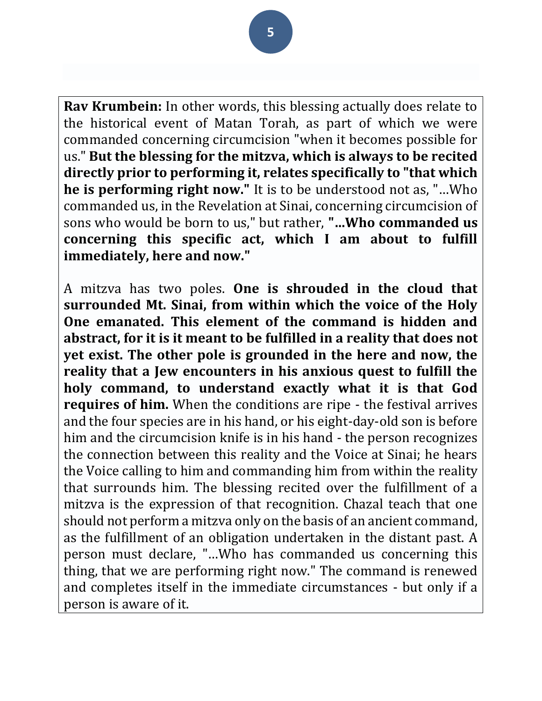**Rav Krumbein:** In other words, this blessing actually does relate to the historical event of Matan Torah, as part of which we were commanded concerning circumcision "when it becomes possible for us." **But the blessing for the mitzva, which is always to be recited directly prior to performing it, relates specifically to "that which he is performing right now."** It is to be understood not as, "…Who commanded us, in the Revelation at Sinai, concerning circumcision of sons who would be born to us," but rather, **"…Who commanded us concerning this specific act, which I am about to fulfill immediately, here and now."**

A mitzva has two poles. **One is shrouded in the cloud that surrounded Mt. Sinai, from within which the voice of the Holy One emanated. This element of the command is hidden and abstract, for it is it meant to be fulfilled in a reality that does not yet exist. The other pole is grounded in the here and now, the reality that a Jew encounters in his anxious quest to fulfill the holy command, to understand exactly what it is that God requires of him.** When the conditions are ripe - the festival arrives and the four species are in his hand, or his eight-day-old son is before him and the circumcision knife is in his hand - the person recognizes the connection between this reality and the Voice at Sinai; he hears the Voice calling to him and commanding him from within the reality that surrounds him. The blessing recited over the fulfillment of a mitzva is the expression of that recognition. Chazal teach that one should not perform a mitzva only on the basis of an ancient command, as the fulfillment of an obligation undertaken in the distant past. A person must declare, "…Who has commanded us concerning this thing, that we are performing right now." The command is renewed and completes itself in the immediate circumstances - but only if a person is aware of it.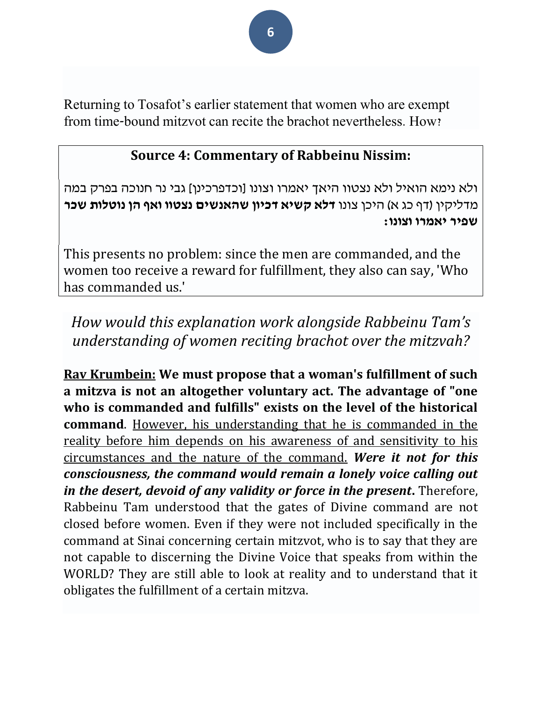Returning to Tosafot's earlier statement that women who are exempt from time-bound mitzvot can recite the brachot nevertheless. How?

## **Source 4: Commentary of Rabbeinu Nissim:**

ולא נימא הואיל ולא נצטוו היאך יאמרו וצונו ]וכדפרכינן[ גבי נר חנוכה בפרק במה מדליקין )דף כג א( היכן צונו **דלא קשיא דכיון שהאנשים נצטוו ואף הן נוטלות שכר שפיר יאמרו וצונו:**

This presents no problem: since the men are commanded, and the women too receive a reward for fulfillment, they also can say, 'Who has commanded us.'

# *How would this explanation work alongside Rabbeinu Tam's understanding of women reciting brachot over the mitzvah?*

**Rav Krumbein: We must propose that a woman's fulfillment of such a mitzva is not an altogether voluntary act. The advantage of "one who is commanded and fulfills" exists on the level of the historical command**. However, his understanding that he is commanded in the reality before him depends on his awareness of and sensitivity to his circumstances and the nature of the command. *Were it not for this consciousness, the command would remain a lonely voice calling out in the desert, devoid of any validity or force in the present***.** Therefore, Rabbeinu Tam understood that the gates of Divine command are not closed before women. Even if they were not included specifically in the command at Sinai concerning certain mitzvot, who is to say that they are not capable to discerning the Divine Voice that speaks from within the WORLD? They are still able to look at reality and to understand that it obligates the fulfillment of a certain mitzva.

**6**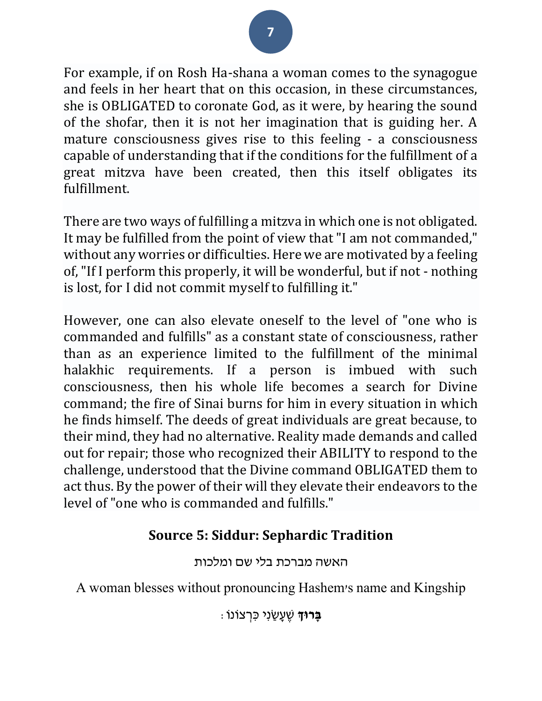# **7**

For example, if on Rosh Ha-shana a woman comes to the synagogue and feels in her heart that on this occasion, in these circumstances, she is OBLIGATED to coronate God, as it were, by hearing the sound of the shofar, then it is not her imagination that is guiding her. A mature consciousness gives rise to this feeling - a consciousness capable of understanding that if the conditions for the fulfillment of a great mitzva have been created, then this itself obligates its fulfillment.

There are two ways of fulfilling a mitzva in which one is not obligated. It may be fulfilled from the point of view that "I am not commanded," without any worries or difficulties. Here we are motivated by a feeling of, "If I perform this properly, it will be wonderful, but if not - nothing is lost, for I did not commit myself to fulfilling it."

However, one can also elevate oneself to the level of "one who is commanded and fulfills" as a constant state of consciousness, rather than as an experience limited to the fulfillment of the minimal halakhic requirements. If a person is imbued with such consciousness, then his whole life becomes a search for Divine command; the fire of Sinai burns for him in every situation in which he finds himself. The deeds of great individuals are great because, to their mind, they had no alternative. Reality made demands and called out for repair; those who recognized their ABILITY to respond to the challenge, understood that the Divine command OBLIGATED them to act thus. By the power of their will they elevate their endeavors to the level of "one who is commanded and fulfills."

## **Source 5: Siddur: Sephardic Tradition**

האשה מברכת בלי שם ומלכות

A woman blesses without pronouncing Hashem's name and Kingship

**ַּבְּרוּד**ָ שֶׁעֲשֶׂנִי כְּרְצוֹנוֹ :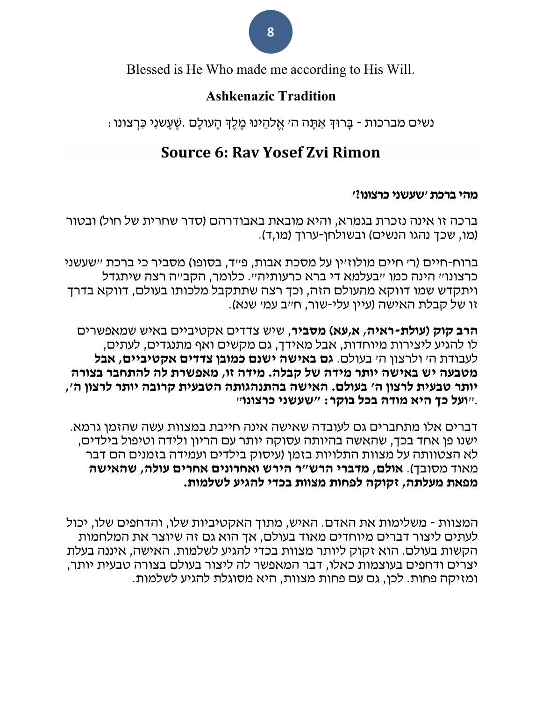#### **8**

Blessed is He Who made me according to His Will.

## **Ashkenazic Tradition**

ּ נִשִּׁים מברכות - בַּרוּדְּ אַתֵּה ה׳ אֱלְהֵינוּ מֶלֶדְּ הַעולָם .שֶׁעֲשנִי כִּרְצונו

# **Source 6: Rav Yosef Zvi Rimon**

#### **מהי ברכת 'שעשני כרצונו ?'**

ברכה זו אינה נזכרת בגמרא, והיא מובאת באבודרהם (סדר שחרית של חול) ובטור (מו, שכך נהגו הנשים) ובשולחן-ערוך (מו,ד).

ברוח-חיים (ר' חיים מולוז'ין על מסכת אבות, פ"ד, בסופו) מסביר כי ברכת "שעשני כרצונו" הינה כמו "בעלמא די ברא כרעותיה". כלומר, הקב"ה רצה שיתגדל ויתקדש שמו דווקא מהעולם הזה, וכך רצה שתתקבל מלכותו בעולם, דווקא בדרך זו של קבלת האישה (עיין עלי-שור, ח״ב עמ׳ שנא).

**הרב קוק )עולת -ראיה, א,עא( מסביר**, שיש צדדים אקטיביים באיש שמאפשרים לו להגיע ליצירות מיוחדות, אבל מאידך, גם מקשים ואף מתנגדים, לעתים, לעבודת ה' ולרצון ה' בעולם. **גם באישה ישנם כמובן צדדים אקטיביים, אבל מטבעה יש באישה יותר מידה של קבלה. מידה זו, מאפשרת לה להתחבר בצורה יותר טבעית לרצון ה' בעולם. האישה בהתנהגותה הטבעית קרובה יותר לרצון ה',**  ."**ועל כך היא מודה בכל בוקר: "שעשני כרצונו**"

דברים אלו מתחברים גם לעובדה שאישה אינה חייבת במצוות עשה שהזמן גרמא. ישנו פן אחד בכך, שהאשה בהיותה עסוקה יותר עם הריון ולידה וטיפול בילדים, לא הצטוותה על מצוות התלויות בזמן (עיסוק בילדים ועמידה בזמנים הם דבר מאוד מסובך(. **אולם, מדברי הרש"ר הירש ואחרונים אחרים עולה, שהאישה מפאת מעלתה, זקוקה לפחות מצוות בכדי להגיע לשלמות.**

המצוות - משלימות את האדם. האיש, מתוך האקטיביות שלו, והדחפים שלו, יכול לעתים ליצור דברים מיוחדים מאוד בעולם, אך הוא גם זה שיוצר את המלחמות הקשות בעולם. הוא זקוק ליותר מצוות בכדי להגיע לשלמות. האישה, איננה בעלת יצרים ודחפים בעוצמות כאלו, דבר המאפשר לה ליצור בעולם בצורה טבעית יותר, ומזיקה פחות. לכן, גם עם פחות מצוות, היא מסוגלת להגיע לשלמות.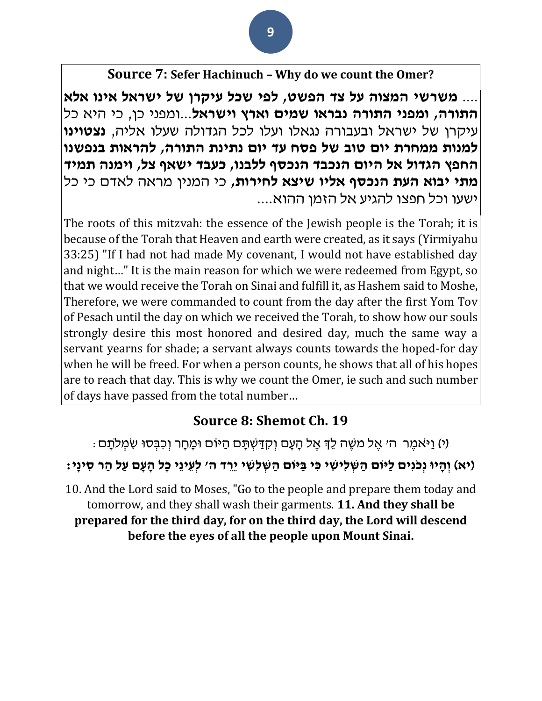### **Source 7: Sefer Hachinuch – Why do we count the Omer?**

.... **משרשי המצוה על צד הפשט, לפי שכל עיקרן של ישראל אינו אלא התורה, ומפני התורה נבראו שמים וארץ וישראל**...ומפני כן, כי היא כל עיקרן של ישראל ובעבורה נגאלו ועלו לכל הגדולה שעלו אליה, **נצטוינו למנות ממחרת יום טוב של פסח עד יום נתינת התורה, להראות בנפשנו החפץ הגדול אל היום הנכבד הנכסף ללבנו, כעבד ישאף צל, וימנה תמיד מתי יבוא העת הנכסף אליו שיצא לחירות,** כי המנין מראה לאדם כי כל ישעו וכל חפצו להגיע אל הזמן ההוא....

The roots of this mitzvah: the essence of the Jewish people is the Torah; it is because of the Torah that Heaven and earth were created, as it says (Yirmiyahu 33:25) "If I had not had made My covenant, I would not have established day and night…" It is the main reason for which we were redeemed from Egypt, so that we would receive the Torah on Sinai and fulfill it, as Hashem said to Moshe, Therefore, we were commanded to count from the day after the first Yom Tov of Pesach until the day on which we received the Torah, to show how our souls strongly desire this most honored and desired day, much the same way a servant yearns for shade; a servant always counts towards the hoped-for day when he will be freed. For when a person counts, he shows that all of his hopes are to reach that day. This is why we count the Omer, ie such and such number of days have passed from the total number…

#### **Source 8: Shemot Ch. 19**

)י( וַי ֹּאמֶ ר ה' אֶ ל משֶ ה לְֵך אֶ ל הָּ עָּ ם וְ קִּ דַ שְ תָּ ם הַ יֹום ּומָּ חָּ ר וְ כִּ בְ סּו שִּ מְ ֹלתָּ ם:

#### **)יא( וְּ הָׁ יּו נְּכֹנִים לַּיֹום הַ שְּ לִישִ י כִ י בַ ּיֹום הַ שְּ לִשִ י יֵרֵ ד ה' לְּעֵ ינֵי כָׁל הָׁ עָׁ ם עַ ל הַ ר סִ ינָׁי:**

10. And the Lord said to Moses, "Go to the people and prepare them today and tomorrow, and they shall wash their garments. **11. And they shall be prepared for the third day, for on the third day, the Lord will descend before the eyes of all the people upon Mount Sinai.**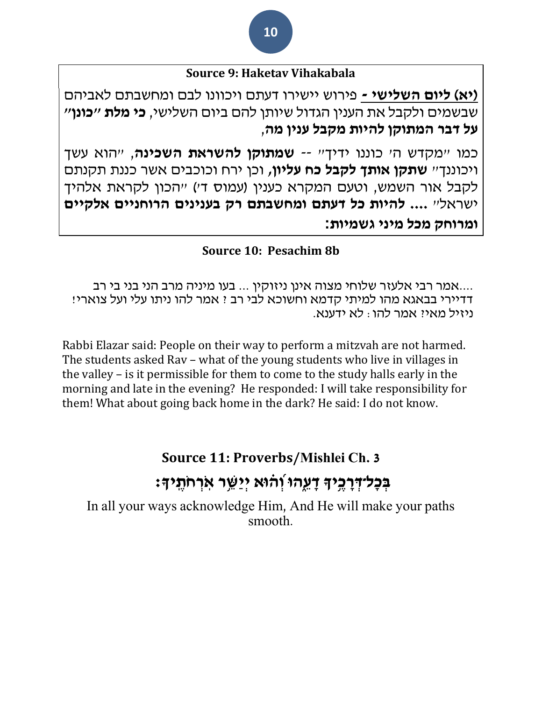#### **Source 9: Haketav Vihakabala**

**)יא( ליום השליש י -** פירוש יישירו דעתם ויכוונו לבם ומחשבתם לאביהם שבשמים ולקבל את הענין הגדול שיותן להם ביום השלישי, **כי מלת "כונן " על דבר המתוקן להיות מקבל ענין מה**,

"הוא עשך כמו "מקדש ה' כוננו ידיך" -- **שמתוקן להשראת השכינה**, ויכוננך" **שתקן אותך לקבל כח עליון,** וכן ירח וכוכבים אשר כננת תקנתם לקבל אור השמש, וטעם המקרא כענין (עמוס ד׳) "הכון לקראת אלהיך ישראל" **.... להיות כל דעתם ומחשבתם רק בענינים הרוחניים אלקיים ומרוחק מכל מיני גשמיות:** 

#### **Source 10: Pesachim 8b**

....אמר רבי אלעזר שלוחי מצוה אינן ניזוקין ... בעו מיניה מרב הני בני בי רב דדיירי בבאגא מהו למיתי קדמא וחשוכא לבי רב ? אמר להו ניתו עלי ועל צוארי! ניזיל מאי? אמר להו: לא ידענא.

Rabbi Elazar said: People on their way to perform a mitzvah are not harmed. The students asked Rav – what of the young students who live in villages in the valley – is it permissible for them to come to the study halls early in the morning and late in the evening? He responded: I will take responsibility for them! What about going back home in the dark? He said: I do not know.

#### **Source 11: Proverbs/Mishlei Ch. 3**

# **ַּבְּכָל־דְּרָבֵיךְ דָעֱהו וְׁהֹוּא יְיַשֵׁר אַרְחֹתֵיךְ:**

In all your ways acknowledge Him, And He will make your paths smooth.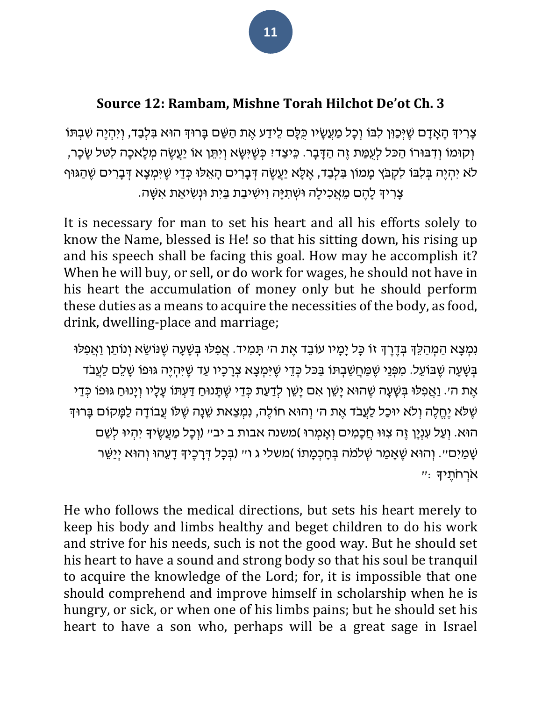## **Source 12: Rambam, Mishne Torah Hilchot De'ot Ch. 3**

ּצְרִידְּ הָאָדָם שֶׁיְּכֵוִּן לִבּוֹ וְכָל מַעֲשָׂיו כֻּלֶם לֵידַע אֶת הַשֵּׁם בָּרוּדְּ הוּא בִּלְבַד, וְיִהְיֶה שִׁבְתּוֹ וְקוּמוֹ וְדִבּוּרוֹ הַכּל לְעֻמַּת זֶה הַדָּבָר. כֵּיצַד? כְּשֶׁיִּשָּׂא וְיִתֵּן אוֹ יַעֲשֶׂה מְלָאכָה לִטל שָׂכָר, לֹּא יִהְיֶה בְּלִבּוֹ לִקְבֹּץ מְמוֹן בִּלְבַד, אֶלָּא יַעֲשֶׂה דְּבָרִים הָאֵלוּ כְּדֵי שֶׁיִּמְצָא דְּבָרִים שֶׁהַגּוּף ּ צָרִידְּ לָהֶם מֶאֲכְילָה וּשְׁתְיַּה וְישִׁיבַת בַּיִּת וּנְשִׂיאַת אִשָּׁה.

It is necessary for man to set his heart and all his efforts solely to know the Name, blessed is He! so that his sitting down, his rising up and his speech shall be facing this goal. How may he accomplish it? When he will buy, or sell, or do work for wages, he should not have in his heart the accumulation of money only but he should perform these duties as a means to acquire the necessities of the body, as food, drink, dwelling-place and marriage;

נִמְצָא הַמְהַלֵּךְ בְּדֶרֶךְ זוֹ כָּל יָמָיו עוֹבֵד אֶת ה׳ תָּמִיד. אֲפִלּוּ בִּשָּׁעָה שֵׁנּוֹשֵׂא וְנוֹתֵן וַאֲפִלּוּ בְּשֶׁעָה שֶׁבּוֹעֶל. מִפְּנֵי שֶׁמַּחֲשָׁבְתּוֹ בַּכּל כְּדֵי שֶׁיִּמְצָא צְרָכָיו עַד שֶׁיִּהְיֶה גּוּפוֹ שַׁלֵּם לַעֲבֹד ָאֶת ה׳. וַאֲפִלּוּ בְּשָׁעָה שֶׁהוּא יָשֵׁן אִם יָשֵׁן לְדַעַת כְּדֵי שֶׁתָּנוּחַ דַּעְתּוֹ עָלָיו וְיָנוּחַ גּוּפוֹ כְּדֵי ْשֶׁלֹּא יֶחֱלֶה וְלֹא יוּכַל לַעֲבֹד אֶת ה׳ וְהוּא חוֹלֶה, נִמְצֵאת שֵׁנָה שֶׁלֹו עֲבוֹדָה לַמָּקוֹם בָּרוּךְ הוּא. וְעַל עִנְיָן זֶה צִוּוּ חֲכָמִים וְאָמְרוּ )משנה אבות ב יב״ (וְכָל מַעֲשֶׂיךָ יִהְיוּ לְשֵׁם שָׁמַיִּם". וְהוּא שֶׁאָמַר שְׁלֹמֹה בְּחָכְמָתוֹ )משלי ג ו'' (בְּכָל דְּרָכֶידְּ דָעֵהוּ וְהוּא יְיַשֵּׁר  $"$ אֹרְחֹתֵיךָ:

He who follows the medical directions, but sets his heart merely to keep his body and limbs healthy and beget children to do his work and strive for his needs, such is not the good way. But he should set his heart to have a sound and strong body so that his soul be tranquil to acquire the knowledge of the Lord; for, it is impossible that one should comprehend and improve himself in scholarship when he is hungry, or sick, or when one of his limbs pains; but he should set his heart to have a son who, perhaps will be a great sage in Israel